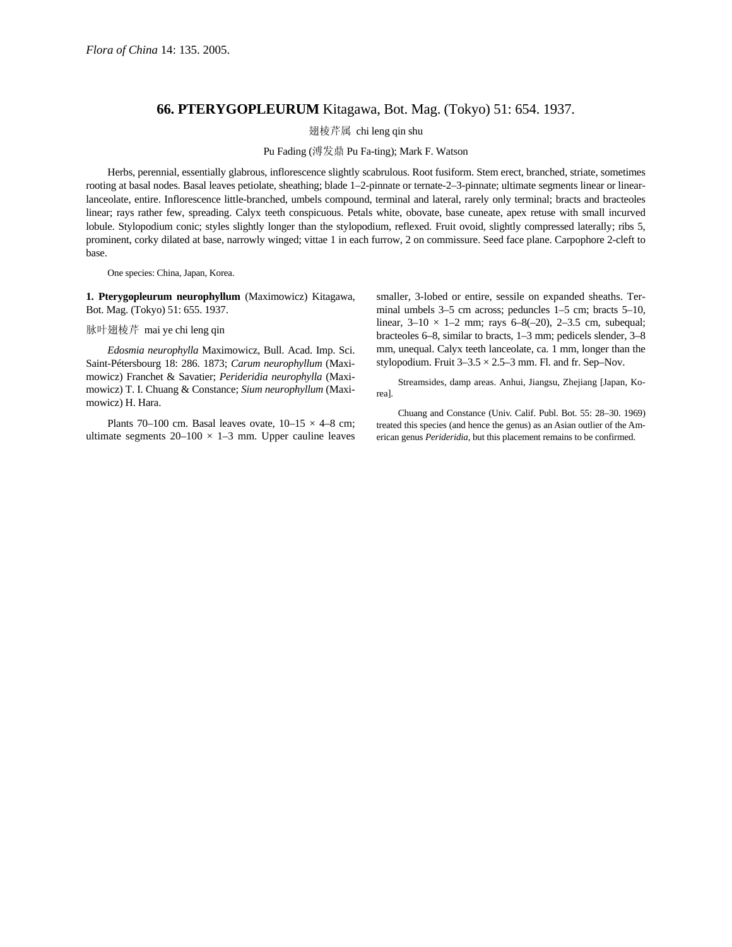## **66. PTERYGOPLEURUM** Kitagawa, Bot. Mag. (Tokyo) 51: 654. 1937.

翅棱芹属 chi leng qin shu

Pu Fading (溥发鼎 Pu Fa-ting); Mark F. Watson

Herbs, perennial, essentially glabrous, inflorescence slightly scabrulous. Root fusiform. Stem erect, branched, striate, sometimes rooting at basal nodes. Basal leaves petiolate, sheathing; blade 1–2-pinnate or ternate-2–3-pinnate; ultimate segments linear or linearlanceolate, entire. Inflorescence little-branched, umbels compound, terminal and lateral, rarely only terminal; bracts and bracteoles linear; rays rather few, spreading. Calyx teeth conspicuous. Petals white, obovate, base cuneate, apex retuse with small incurved lobule. Stylopodium conic; styles slightly longer than the stylopodium, reflexed. Fruit ovoid, slightly compressed laterally; ribs 5, prominent, corky dilated at base, narrowly winged; vittae 1 in each furrow, 2 on commissure. Seed face plane. Carpophore 2-cleft to base.

One species: China, Japan, Korea.

**1. Pterygopleurum neurophyllum** (Maximowicz) Kitagawa, Bot. Mag. (Tokyo) 51: 655. 1937.

## 脉叶翅棱芹 mai ye chi leng qin

*Edosmia neurophylla* Maximowicz, Bull. Acad. Imp. Sci. Saint-Pétersbourg 18: 286. 1873; *Carum neurophyllum* (Maximowicz) Franchet & Savatier; *Perideridia neurophylla* (Maximowicz) T. I. Chuang & Constance; *Sium neurophyllum* (Maximowicz) H. Hara.

Plants 70–100 cm. Basal leaves ovate,  $10-15 \times 4-8$  cm; ultimate segments  $20-100 \times 1-3$  mm. Upper cauline leaves smaller, 3-lobed or entire, sessile on expanded sheaths. Terminal umbels 3–5 cm across; peduncles 1–5 cm; bracts 5–10, linear,  $3-10 \times 1-2$  mm; rays  $6-8(-20)$ ,  $2-3.5$  cm, subequal; bracteoles 6–8, similar to bracts, 1–3 mm; pedicels slender, 3–8 mm, unequal. Calyx teeth lanceolate, ca. 1 mm, longer than the stylopodium. Fruit  $3-3.5 \times 2.5-3$  mm. Fl. and fr. Sep-Nov.

Streamsides, damp areas. Anhui, Jiangsu, Zhejiang [Japan, Korea].

Chuang and Constance (Univ. Calif. Publ. Bot. 55: 28–30. 1969) treated this species (and hence the genus) as an Asian outlier of the American genus *Perideridia,* but this placement remains to be confirmed.